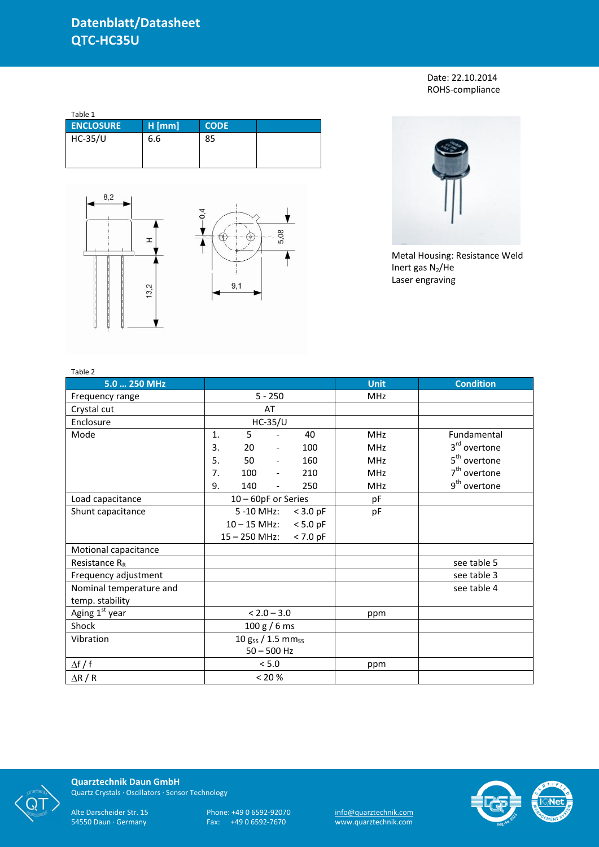Date: 22.10.2014 ROHS-compliance

| Table 1          |          |             |  |  |  |  |  |
|------------------|----------|-------------|--|--|--|--|--|
| <b>ENCLOSURE</b> | $H$ [mm] | <b>CODE</b> |  |  |  |  |  |
| <b>HC-35/U</b>   | 6.6      | 85          |  |  |  |  |  |





Metal Housing: Resistance Weld Inert gas  $N_2$ /He Laser engraving

| Table 2                 |                               |                     |                          |            |             |                          |
|-------------------------|-------------------------------|---------------------|--------------------------|------------|-------------|--------------------------|
| 5.0  250 MHz            |                               |                     |                          |            | <b>Unit</b> | <b>Condition</b>         |
| Frequency range         | $5 - 250$                     |                     |                          |            | <b>MHz</b>  |                          |
| Crystal cut             |                               |                     | AT                       |            |             |                          |
| Enclosure               |                               |                     | <b>HC-35/U</b>           |            |             |                          |
| Mode                    | 5<br>40<br>$\mathbf{1}$ .     |                     |                          |            | <b>MHz</b>  | Fundamental              |
|                         | 3.                            | 20                  | $\overline{\phantom{a}}$ | 100        | <b>MHz</b>  | 3 <sup>rd</sup> overtone |
|                         | 5.                            | 50                  |                          | 160        | <b>MHz</b>  | 5 <sup>th</sup> overtone |
|                         | 7.                            | 100                 | $\overline{\phantom{a}}$ | 210        | <b>MHz</b>  | $7th$ overtone           |
|                         | 9.                            | 140                 |                          | 250        | <b>MHz</b>  | 9 <sup>th</sup> overtone |
| Load capacitance        |                               | 10 - 60pF or Series |                          |            | pF          |                          |
| Shunt capacitance       |                               | 5 -10 MHz:          |                          | $<$ 3.0 pF | pF          |                          |
|                         |                               | $10 - 15$ MHz:      |                          | $< 5.0$ pF |             |                          |
|                         | $< 7.0$ pF<br>$15 - 250$ MHz: |                     |                          |            |             |                          |
| Motional capacitance    |                               |                     |                          |            |             |                          |
| Resistance $R_R$        |                               |                     |                          |            |             | see table 5              |
| Frequency adjustment    |                               |                     |                          |            |             | see table 3              |
| Nominal temperature and |                               |                     |                          |            |             | see table 4              |
| temp. stability         |                               |                     |                          |            |             |                          |
| Aging 1st year          | $< 2.0 - 3.0$                 |                     | ppm                      |            |             |                          |
| Shock                   | 100 g / 6 ms                  |                     |                          |            |             |                          |
| Vibration               | 10 gss / 1.5 mmss             |                     |                          |            |             |                          |
|                         | $50 - 500$ Hz                 |                     |                          |            |             |                          |
| $\Delta f / f$          |                               |                     | $< 5.0$                  |            | ppm         |                          |
| $\Delta$ R / R          | $< 20 \%$                     |                     |                          |            |             |                          |



**Quarztechnik Daun GmbH** Quartz Crystals · Oscillators · Sensor Technology

Alte Darscheider Str. 15 Phone: +49 0 6592-92070 <u>info@quarztechnik.com</u> 54550 Daun · Germany Fax: +49 0 6592-7670 www.quarztechnik.com